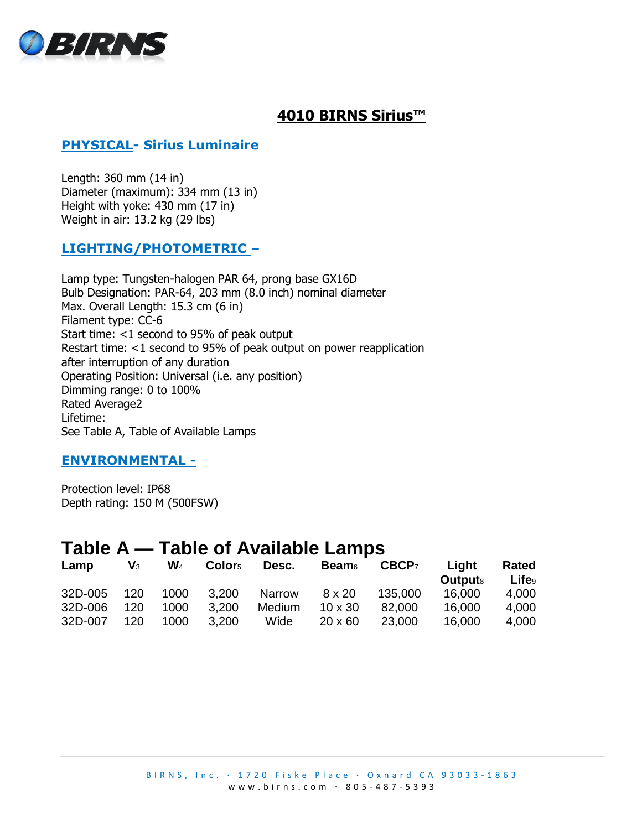

# **4010 BIRNS Sirius™**

## **PHYSICAL- Sirius Luminaire**

Length: 360 mm (14 in) Diameter (maximum): 334 mm (13 in) Height with yoke: 430 mm (17 in) Weight in air: 13.2 kg (29 lbs)

### **LIGHTING/PHOTOMETRIC –**

Lamp type: Tungsten-halogen PAR 64, prong base GX16D Bulb Designation: PAR-64, 203 mm (8.0 inch) nominal diameter Max. Overall Length: 15.3 cm (6 in) Filament type: CC-6 Start time: <1 second to 95% of peak output Restart time: <1 second to 95% of peak output on power reapplication after interruption of any duration Operating Position: Universal (i.e. any position) Dimming range: 0 to 100% Rated Average2 Lifetime: See Table A, Table of Available Lamps

#### **ENVIRONMENTAL -**

Protection level: IP68 Depth rating: 150 M (500FSW)

# **Table A — Table of Available Lamps**

| Lamp    | $\mathsf{V}_3$ | $\mathbf{W}_4$ | Color <sub>5</sub> | Desc.  | <b>Beam</b>    | CBCP <sub>7</sub> | Light<br><b>Outputs</b> | Rated<br><b>Life</b> <sub>9</sub> |
|---------|----------------|----------------|--------------------|--------|----------------|-------------------|-------------------------|-----------------------------------|
| 32D-005 | 120            | 1000           | 3,200              | Narrow | $8 \times 20$  | 135,000           | 16,000                  | 4,000                             |
| 32D-006 | 120            | 1000           | 3.200              | Medium | $10 \times 30$ | 82,000            | 16,000                  | 4,000                             |
| 32D-007 | 120            | 1000           | 3,200              | Wide   | $20 \times 60$ | 23,000            | 16,000                  | 4,000                             |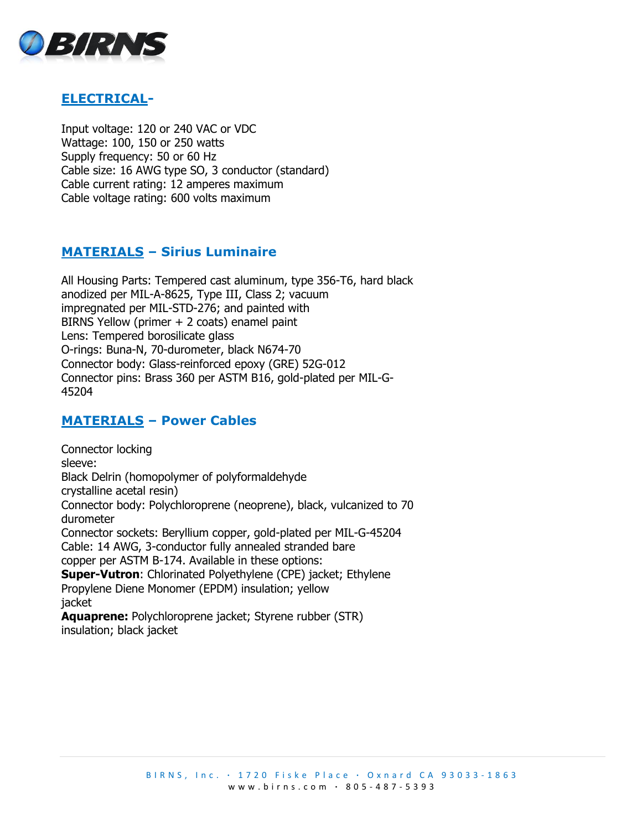

### **ELECTRICAL-**

Input voltage: 120 or 240 VAC or VDC Wattage: 100, 150 or 250 watts Supply frequency: 50 or 60 Hz Cable size: 16 AWG type SO, 3 conductor (standard) Cable current rating: 12 amperes maximum Cable voltage rating: 600 volts maximum

### **MATERIALS – Sirius Luminaire**

All Housing Parts: Tempered cast aluminum, type 356-T6, hard black anodized per MIL-A-8625, Type III, Class 2; vacuum impregnated per MIL-STD-276; and painted with BIRNS Yellow (primer + 2 coats) enamel paint Lens: Tempered borosilicate glass O-rings: Buna-N, 70-durometer, black N674-70 Connector body: Glass-reinforced epoxy (GRE) 52G-012 Connector pins: Brass 360 per ASTM B16, gold-plated per MIL-G-45204

### **MATERIALS – Power Cables**

Connector locking sleeve: Black Delrin (homopolymer of polyformaldehyde crystalline acetal resin) Connector body: Polychloroprene (neoprene), black, vulcanized to 70 durometer Connector sockets: Beryllium copper, gold-plated per MIL-G-45204 Cable: 14 AWG, 3-conductor fully annealed stranded bare copper per ASTM B-174. Available in these options: **Super-Vutron**: Chlorinated Polyethylene (CPE) jacket; Ethylene Propylene Diene Monomer (EPDM) insulation; yellow jacket **Aquaprene:** Polychloroprene jacket; Styrene rubber (STR) insulation; black jacket